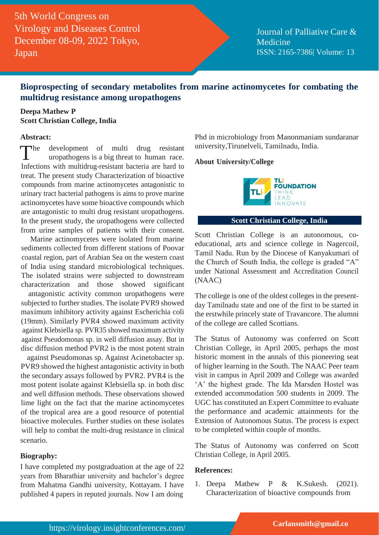5th World Congress on Virology and Diseases Control December 08-09, 2022 Tokyo, Japan

Journal of Palliative Care & Medicine ISSN: 2165-7386| Volume: 13

# **Bioprospecting of secondary metabolites from marine actinomycetes for combating the multidrug resistance among uropathogens**

## **Deepa Mathew P Scott Christian College, India**

## **Abstract:**

 $\n **The**\n$ development of multi drug resistant uropathogens is a big threat to human race. Infections with multidrug-resistant bacteria are hard to treat. The present study Characterization of bioactive compounds from marine actinomycetes antagonistic to urinary tract bacterial pathogens is aims to prove marine actinomycetes have some bioactive compounds which are antagonistic to multi drug resistant uropathogens. In the present study, the uropathogens were collected from urine samples of patients with their consent.

Marine actinomycetes were isolated from marine sediments collected from different stations of Poovar coastal region, part of Arabian Sea on the western coast of India using standard microbiological techniques. The isolated strains were subjected to downstream characterization and those showed significant

antagonistic activity common uropathogens were subjected to further studies. The isolate PVR9 showed maximum inhibitory activity against Escherichia coli (19mm). Similarly PVR4 showed maximum activity against Klebsiella sp. PVR35 showed maximum activity against Pseudomonas sp. in well diffusion assay. But in disc diffusion method PVR2 is the most potent strain

against Pseudomonas sp. Against Acinetobacter sp. PVR9 showed the highest antagonistic activity in both the secondary assays followed by PVR2. PVR4 is the most potent isolate against Klebsiella sp. in both disc and well diffusion methods. These observations showed lime light on the fact that the marine actinomycetes of the tropical area are a good resource of potential bioactive molecules. Further studies on these isolates will help to combat the multi-drug resistance in clinical scenario.

## **Biography:**

I have completed my postgraduation at the age of 22 years from Bharathiar university and bachelor's degree from Mahatma Gandhi university, Kottayam. I have published 4 papers in reputed journals. Now I am doing

Phd in microbiology from Manonmaniam sundaranar university,Tirunelveli, Tamilnadu, India.

### **About University/College**



## **Scott Christian College, India**

Scott Christian College is an autonomous, coeducational, arts and science college in Nagercoil, Tamil Nadu. Run by the Diocese of Kanyakumari of the Church of South India, the college is graded "A" under National Assessment and Accreditation Council (NAAC)

The college is one of the oldest colleges in the presentday Tamilnadu state and one of the first to be started in the erstwhile princely state of Travancore. The alumni of the college are called Scottians.

The Status of Autonomy was conferred on Scott Christian College, in April 2005, perhaps the most historic moment in the annals of this pioneering seat of higher learning in the South. The NAAC Peer team visit in campus in April 2009 and College was awarded 'A' the highest grade. The Ida Marsden Hostel was extended accommodation 500 students in 2009. The UGC has constituted an Expert Committee to evaluate the performance and academic attainments for the Extension of Autonomous Status. The process is expect to be completed within couple of months.

The Status of Autonomy was conferred on Scott Christian College, in April 2005.

### **References:**

1. Deepa Mathew P & K.Sukesh. (2021). Characterization of bioactive compounds from